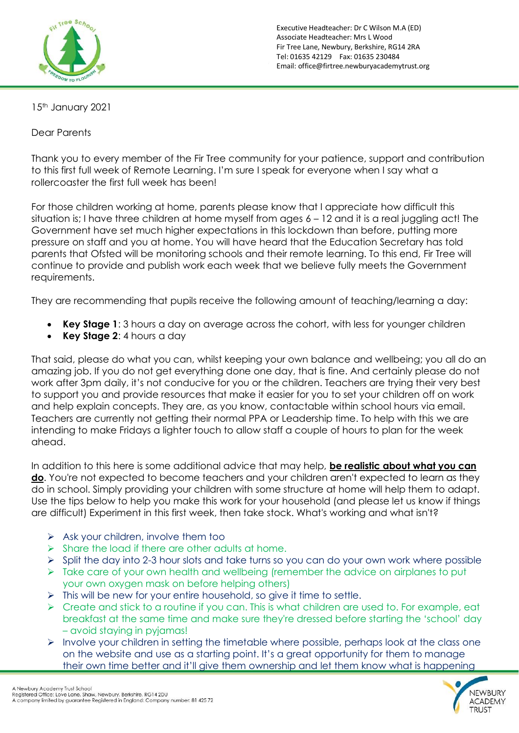

Executive Headteacher: Dr C Wilson M.A (ED) Associate Headteacher: Mrs L Wood Fir Tree Lane, Newbury, Berkshire, RG14 2RA Tel: 01635 42129 Fax: 01635 230484 Email: office@firtree.newburyacademytrust.org

15<sup>th</sup> January 2021

Dear Parents

Thank you to every member of the Fir Tree community for your patience, support and contribution to this first full week of Remote Learning. I'm sure I speak for everyone when I say what a rollercoaster the first full week has been!

For those children working at home, parents please know that I appreciate how difficult this situation is; I have three children at home myself from ages  $6 - 12$  and it is a real juggling act! The Government have set much higher expectations in this lockdown than before, putting more pressure on staff and you at home. You will have heard that the Education Secretary has told parents that Ofsted will be monitoring schools and their remote learning. To this end, Fir Tree will continue to provide and publish work each week that we believe fully meets the Government requirements.

They are recommending that pupils receive the following amount of teaching/learning a day:

- **Key Stage 1**: 3 hours a day on average across the cohort, with less for younger children
- **Key Stage 2**: 4 hours a day

That said, please do what you can, whilst keeping your own balance and wellbeing; you all do an amazing job. If you do not get everything done one day, that is fine. And certainly please do not work after 3pm daily, it's not conducive for you or the children. Teachers are trying their very best to support you and provide resources that make it easier for you to set your children off on work and help explain concepts. They are, as you know, contactable within school hours via email. Teachers are currently not getting their normal PPA or Leadership time. To help with this we are intending to make Fridays a lighter touch to allow staff a couple of hours to plan for the week ahead.

In addition to this here is some additional advice that may help, **be realistic about what you can do**. You're not expected to become teachers and your children aren't expected to learn as they do in school. Simply providing your children with some structure at home will help them to adapt. Use the tips below to help you make this work for your household (and please let us know if things are difficult) Experiment in this first week, then take stock. What's working and what isn't?

- ➢ Ask your children, involve them too
- $\triangleright$  Share the load if there are other adults at home.
- ➢ Split the day into 2-3 hour slots and take turns so you can do your own work where possible
- ➢ Take care of your own health and wellbeing (remember the advice on airplanes to put your own oxygen mask on before helping others)
- ➢ This will be new for your entire household, so give it time to settle.
- $\triangleright$  Create and stick to a routine if you can. This is what children are used to. For example, eat breakfast at the same time and make sure they're dressed before starting the 'school' day – avoid staying in pyjamas!
- ➢ Involve your children in setting the timetable where possible, perhaps look at the class one on the website and use as a starting point. It's a great opportunity for them to manage their own time better and it'll give them ownership and let them know what is happening

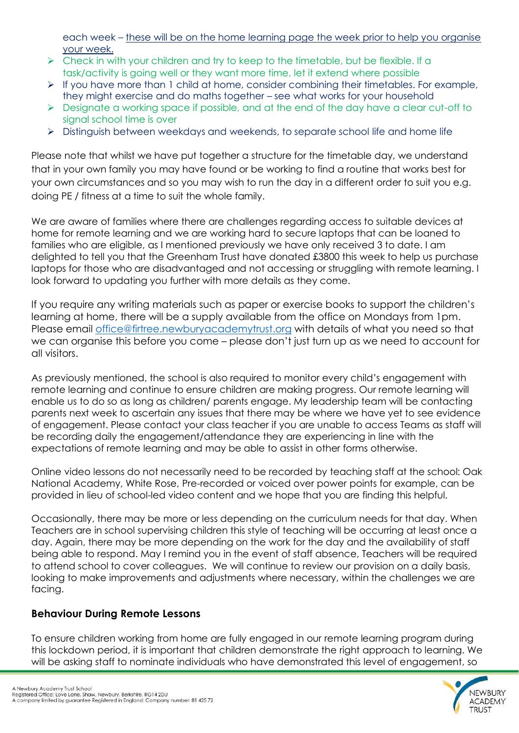each week – these will be on the home learning page the week prior to help you organise your week.

- $\triangleright$  Check in with your children and try to keep to the timetable, but be flexible. If a task/activity is going well or they want more time, let it extend where possible
- ➢ If you have more than 1 child at home, consider combining their timetables. For example, they might exercise and do maths together – see what works for your household
- ➢ Designate a working space if possible, and at the end of the day have a clear cut-off to signal school time is over
- ➢ Distinguish between weekdays and weekends, to separate school life and home life

Please note that whilst we have put together a structure for the timetable day, we understand that in your own family you may have found or be working to find a routine that works best for your own circumstances and so you may wish to run the day in a different order to suit you e.g. doing PE / fitness at a time to suit the whole family.

We are aware of families where there are challenges regarding access to suitable devices at home for remote learning and we are working hard to secure laptops that can be loaned to families who are eligible, as I mentioned previously we have only received 3 to date. I am delighted to tell you that the Greenham Trust have donated £3800 this week to help us purchase laptops for those who are disadvantaged and not accessing or struggling with remote learning. I look forward to updating you further with more details as they come.

If you require any writing materials such as paper or exercise books to support the children's learning at home, there will be a supply available from the office on Mondays from 1pm. Please email [office@firtree.newburyacademytrust.](mailto:office@firtree.newburyacademytrust)org with details of what you need so that we can organise this before you come – please don't just turn up as we need to account for all visitors.

As previously mentioned, the school is also required to monitor every child's engagement with remote learning and continue to ensure children are making progress. Our remote learning will enable us to do so as long as children/ parents engage. My leadership team will be contacting parents next week to ascertain any issues that there may be where we have yet to see evidence of engagement. Please contact your class teacher if you are unable to access Teams as staff will be recording daily the engagement/attendance they are experiencing in line with the expectations of remote learning and may be able to assist in other forms otherwise.

Online video lessons do not necessarily need to be recorded by teaching staff at the school: Oak National Academy, White Rose, Pre-recorded or voiced over power points for example, can be provided in lieu of school-led video content and we hope that you are finding this helpful.

Occasionally, there may be more or less depending on the curriculum needs for that day. When Teachers are in school supervising children this style of teaching will be occurring at least once a day. Again, there may be more depending on the work for the day and the availability of staff being able to respond. May I remind you in the event of staff absence, Teachers will be required to attend school to cover colleagues. We will continue to review our provision on a daily basis, looking to make improvements and adjustments where necessary, within the challenges we are facing.

## **Behaviour During Remote Lessons**

To ensure children working from home are fully engaged in our remote learning program during this lockdown period, it is important that children demonstrate the right approach to learning. We will be asking staff to nominate individuals who have demonstrated this level of engagement, so

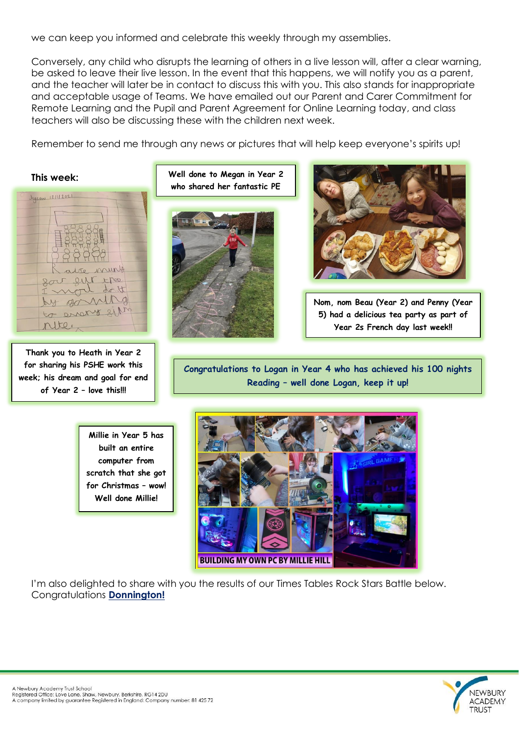we can keep you informed and celebrate this weekly through my assemblies.

Conversely, any child who disrupts the learning of others in a live lesson will, after a clear warning, be asked to leave their live lesson. In the event that this happens, we will notify you as a parent, and the teacher will later be in contact to discuss this with you. This also stands for inappropriate and acceptable usage of Teams. We have emailed out our Parent and Carer Commitment for Remote Learning and the Pupil and Parent Agreement for Online Learning today, and class teachers will also be discussing these with the children next week.

Remember to send me through any news or pictures that will help keep everyone's spirits up!

**This week:** Jyson 12/11/2021 Nunts eur epos. nort do the ganing to errory sil rite,

**Thank you to Heath in Year 2 for sharing his PSHE work this week; his dream and goal for end of Year 2 – love this!!!**

**Well done to Megan in Year 2 who shared her fantastic PE**





**Nom, nom Beau (Year 2) and Penny (Year 5) had a delicious tea party as part of Year 2s French day last week!!**

**Congratulations to Logan in Year 4 who has achieved his 100 nights Reading – well done Logan, keep it up!**

**Millie in Year 5 has built an entire computer from scratch that she got for Christmas – wow! Well done Millie!**



I'm also delighted to share with you the results of our Times Tables Rock Stars Battle below. Congratulations **Donnington!**